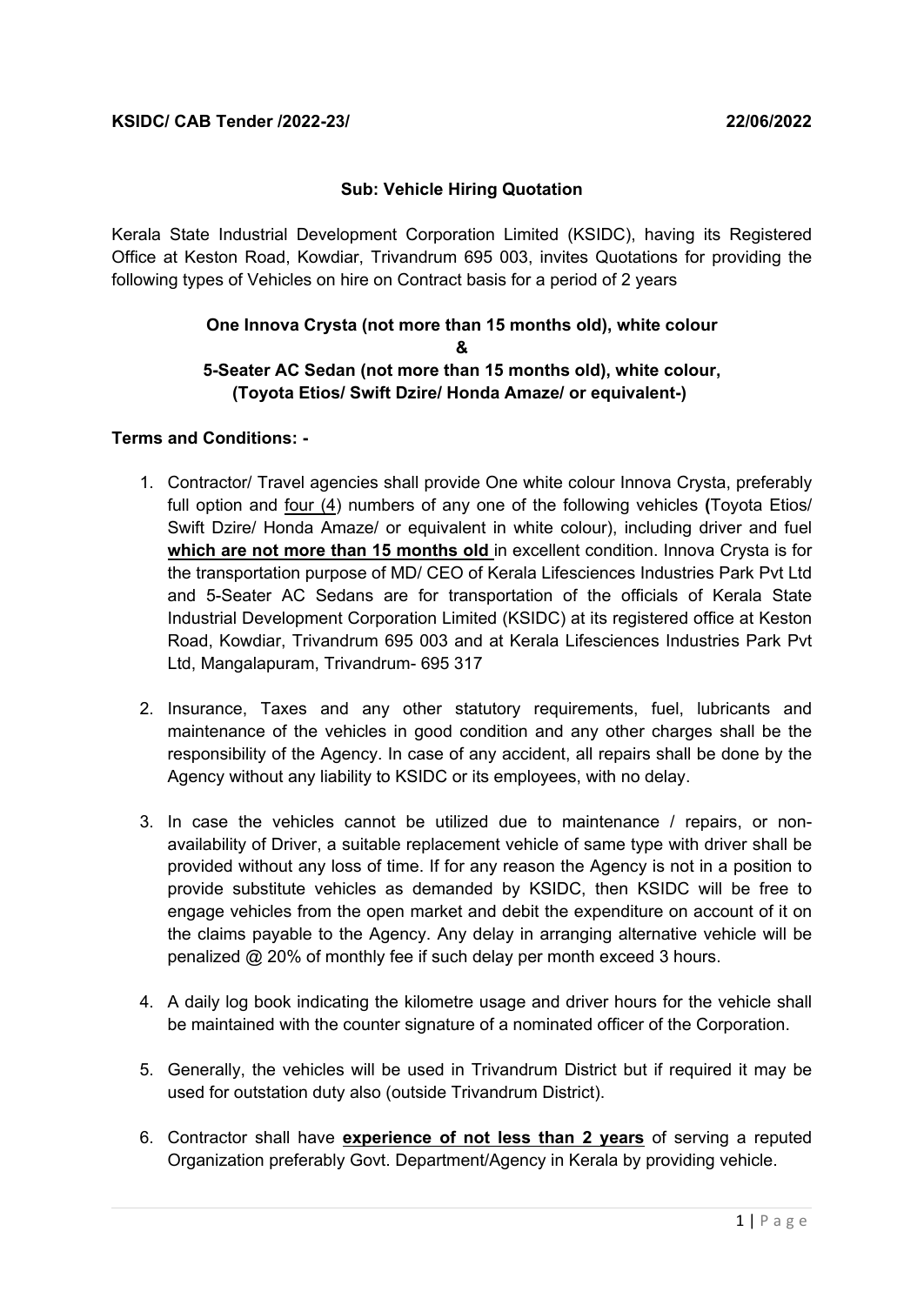## **Sub: Vehicle Hiring Quotation**

Kerala State Industrial Development Corporation Limited (KSIDC), having its Registered Office at Keston Road, Kowdiar, Trivandrum 695 003, invites Quotations for providing the following types of Vehicles on hire on Contract basis for a period of 2 years

## **One Innova Crysta (not more than 15 months old), white colour & 5-Seater AC Sedan (not more than 15 months old), white colour, (Toyota Etios/ Swift Dzire/ Honda Amaze/ or equivalent-)**

#### **Terms and Conditions: -**

- 1. Contractor/ Travel agencies shall provide One white colour Innova Crysta, preferably full option and four (4) numbers of any one of the following vehicles **(**Toyota Etios/ Swift Dzire/ Honda Amaze/ or equivalent in white colour), including driver and fuel **which are not more than 15 months old** in excellent condition. Innova Crysta is for the transportation purpose of MD/ CEO of Kerala Lifesciences Industries Park Pvt Ltd and 5-Seater AC Sedans are for transportation of the officials of Kerala State Industrial Development Corporation Limited (KSIDC) at its registered office at Keston Road, Kowdiar, Trivandrum 695 003 and at Kerala Lifesciences Industries Park Pvt Ltd, Mangalapuram, Trivandrum- 695 317
- 2. Insurance, Taxes and any other statutory requirements, fuel, lubricants and maintenance of the vehicles in good condition and any other charges shall be the responsibility of the Agency. In case of any accident, all repairs shall be done by the Agency without any liability to KSIDC or its employees, with no delay.
- 3. In case the vehicles cannot be utilized due to maintenance / repairs, or nonavailability of Driver, a suitable replacement vehicle of same type with driver shall be provided without any loss of time. If for any reason the Agency is not in a position to provide substitute vehicles as demanded by KSIDC, then KSIDC will be free to engage vehicles from the open market and debit the expenditure on account of it on the claims payable to the Agency. Any delay in arranging alternative vehicle will be penalized @ 20% of monthly fee if such delay per month exceed 3 hours.
- 4. A daily log book indicating the kilometre usage and driver hours for the vehicle shall be maintained with the counter signature of a nominated officer of the Corporation.
- 5. Generally, the vehicles will be used in Trivandrum District but if required it may be used for outstation duty also (outside Trivandrum District).
- 6. Contractor shall have **experience of not less than 2 years** of serving a reputed Organization preferably Govt. Department/Agency in Kerala by providing vehicle.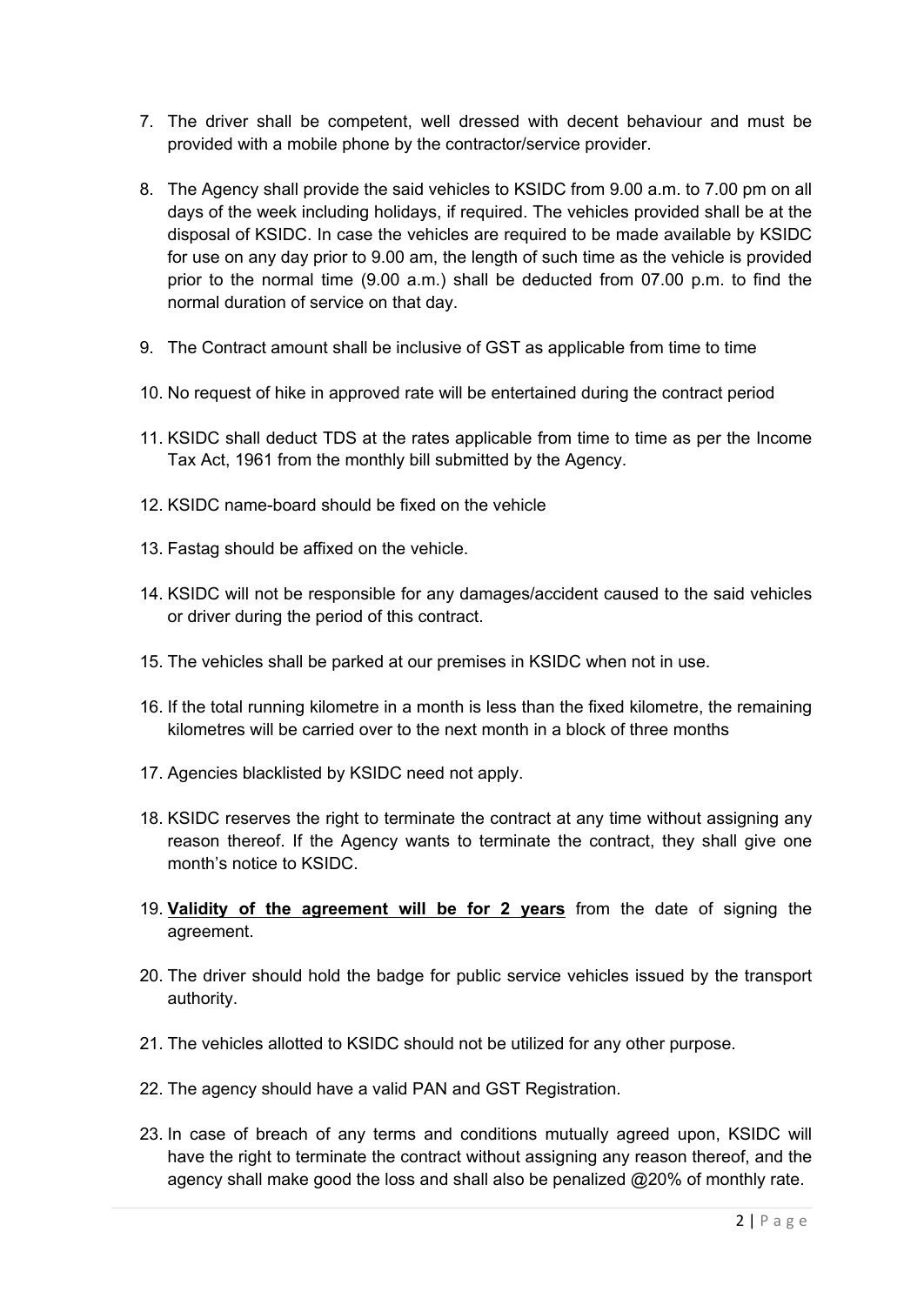- 7. The driver shall be competent, well dressed with decent behaviour and must be provided with a mobile phone by the contractor/service provider.
- 8. The Agency shall provide the said vehicles to KSIDC from 9.00 a.m. to 7.00 pm on all days of the week including holidays, if required. The vehicles provided shall be at the disposal of KSIDC. In case the vehicles are required to be made available by KSIDC for use on any day prior to 9.00 am, the length of such time as the vehicle is provided prior to the normal time (9.00 a.m.) shall be deducted from 07.00 p.m. to find the normal duration of service on that day.
- 9. The Contract amount shall be inclusive of GST as applicable from time to time
- 10. No request of hike in approved rate will be entertained during the contract period
- 11. KSIDC shall deduct TDS at the rates applicable from time to time as per the Income Tax Act, 1961 from the monthly bill submitted by the Agency.
- 12. KSIDC name-board should be fixed on the vehicle
- 13. Fastag should be affixed on the vehicle.
- 14. KSIDC will not be responsible for any damages/accident caused to the said vehicles or driver during the period of this contract.
- 15. The vehicles shall be parked at our premises in KSIDC when not in use.
- 16. If the total running kilometre in a month is less than the fixed kilometre, the remaining kilometres will be carried over to the next month in a block of three months
- 17. Agencies blacklisted by KSIDC need not apply.
- 18. KSIDC reserves the right to terminate the contract at any time without assigning any reason thereof. If the Agency wants to terminate the contract, they shall give one month's notice to KSIDC.
- 19. **Validity of the agreement will be for 2 years** from the date of signing the agreement.
- 20. The driver should hold the badge for public service vehicles issued by the transport authority.
- 21. The vehicles allotted to KSIDC should not be utilized for any other purpose.
- 22. The agency should have a valid PAN and GST Registration.
- 23. In case of breach of any terms and conditions mutually agreed upon, KSIDC will have the right to terminate the contract without assigning any reason thereof, and the agency shall make good the loss and shall also be penalized @20% of monthly rate.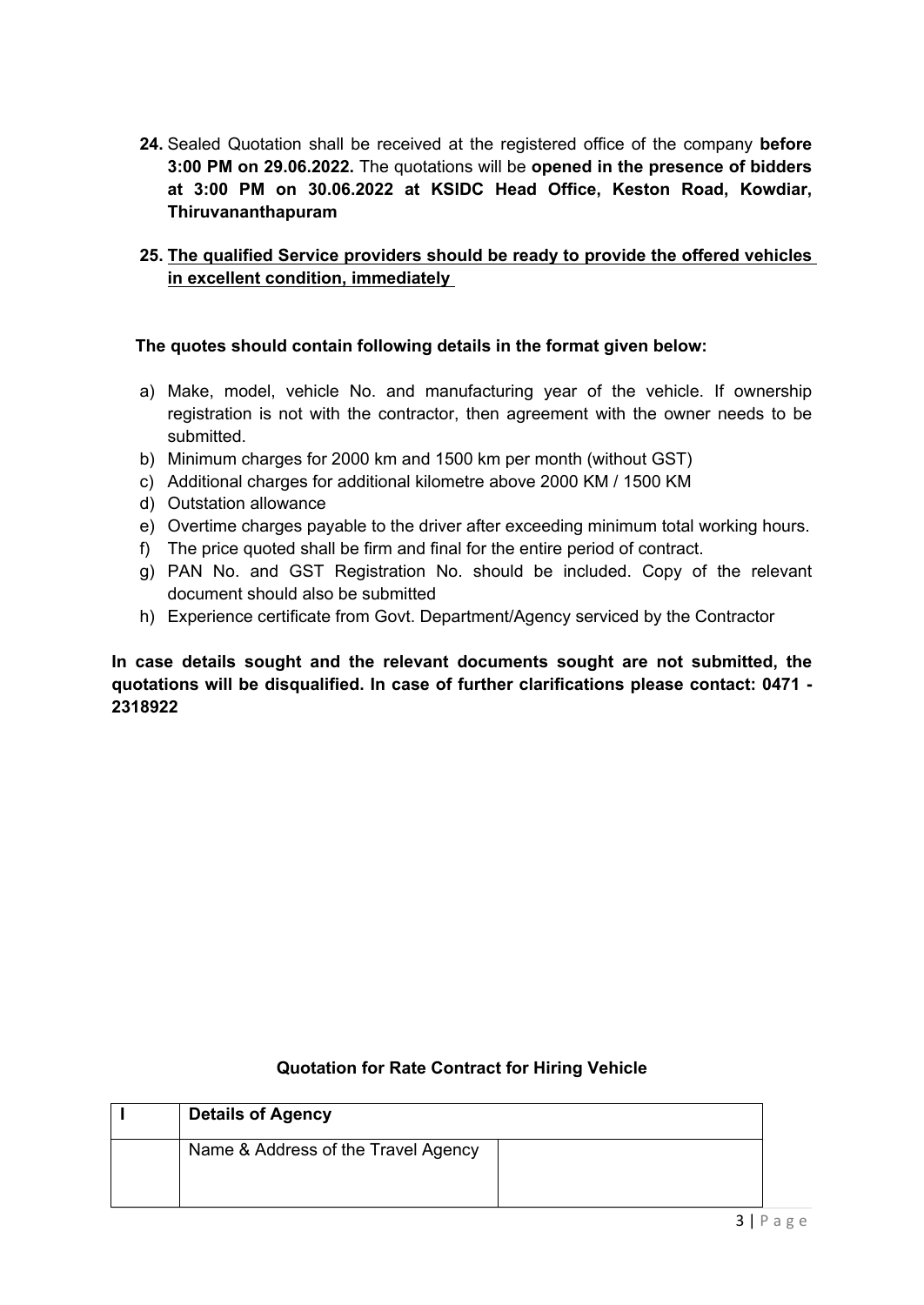**24.** Sealed Quotation shall be received at the registered office of the company **before 3:00 PM on 29.06.2022.** The quotations will be **opened in the presence of bidders at 3:00 PM on 30.06.2022 at KSIDC Head Office, Keston Road, Kowdiar, Thiruvananthapuram**

## **25. The qualified Service providers should be ready to provide the offered vehicles in excellent condition, immediately**

# **The quotes should contain following details in the format given below:**

- a) Make, model, vehicle No. and manufacturing year of the vehicle. If ownership registration is not with the contractor, then agreement with the owner needs to be submitted.
- b) Minimum charges for 2000 km and 1500 km per month (without GST)
- c) Additional charges for additional kilometre above 2000 KM / 1500 KM
- d) Outstation allowance
- e) Overtime charges payable to the driver after exceeding minimum total working hours.
- f) The price quoted shall be firm and final for the entire period of contract.
- g) PAN No. and GST Registration No. should be included. Copy of the relevant document should also be submitted
- h) Experience certificate from Govt. Department/Agency serviced by the Contractor

**In case details sought and the relevant documents sought are not submitted, the quotations will be disqualified. In case of further clarifications please contact: 0471 - 2318922**

| <b>Details of Agency</b>            |  |
|-------------------------------------|--|
| Name & Address of the Travel Agency |  |

# **Quotation for Rate Contract for Hiring Vehicle**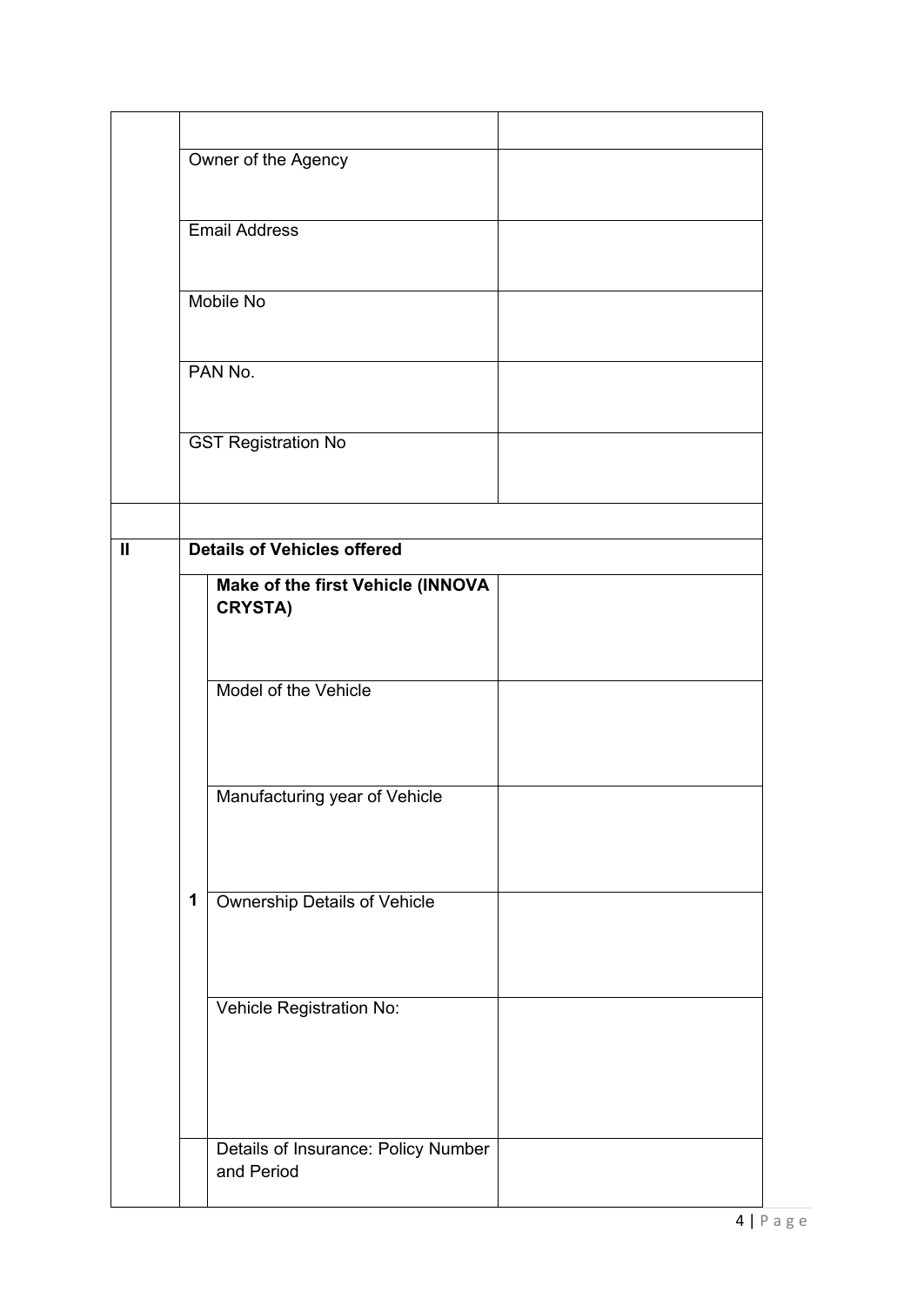|              |                      | Owner of the Agency                                 |
|--------------|----------------------|-----------------------------------------------------|
|              | <b>Email Address</b> |                                                     |
|              |                      | <b>Mobile No</b>                                    |
|              | PAN No.              |                                                     |
|              |                      | <b>GST Registration No</b>                          |
|              |                      |                                                     |
| $\mathbf{I}$ |                      | <b>Details of Vehicles offered</b>                  |
|              |                      | Make of the first Vehicle (INNOVA<br><b>CRYSTA)</b> |
|              |                      | Model of the Vehicle                                |
|              |                      | Manufacturing year of Vehicle                       |
|              | 1                    | Ownership Details of Vehicle                        |
|              |                      |                                                     |
|              |                      | Vehicle Registration No:                            |
|              |                      |                                                     |
|              |                      | Details of Insurance: Policy Number<br>and Period   |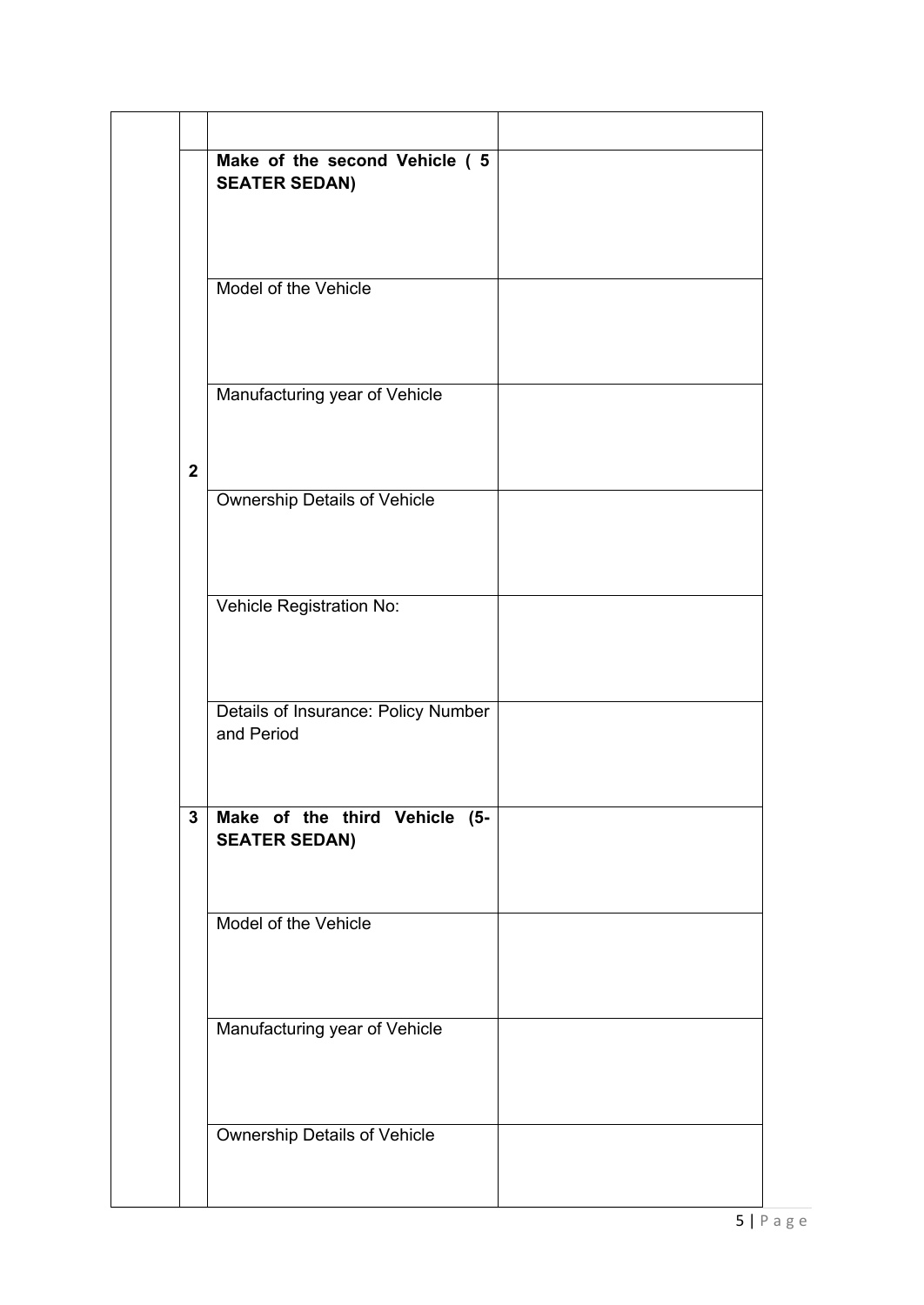|              | Make of the second Vehicle (5<br><b>SEATER SEDAN)</b> |  |
|--------------|-------------------------------------------------------|--|
|              |                                                       |  |
|              | Model of the Vehicle                                  |  |
|              |                                                       |  |
|              | Manufacturing year of Vehicle                         |  |
| $\mathbf{2}$ |                                                       |  |
|              | <b>Ownership Details of Vehicle</b>                   |  |
|              |                                                       |  |
|              | Vehicle Registration No:                              |  |
|              |                                                       |  |
|              | Details of Insurance: Policy Number<br>and Period     |  |
|              |                                                       |  |
| $\mathbf 3$  | Make of the third Vehicle (5-<br><b>SEATER SEDAN)</b> |  |
|              | Model of the Vehicle                                  |  |
|              |                                                       |  |
|              | Manufacturing year of Vehicle                         |  |
|              |                                                       |  |
|              | Ownership Details of Vehicle                          |  |
|              |                                                       |  |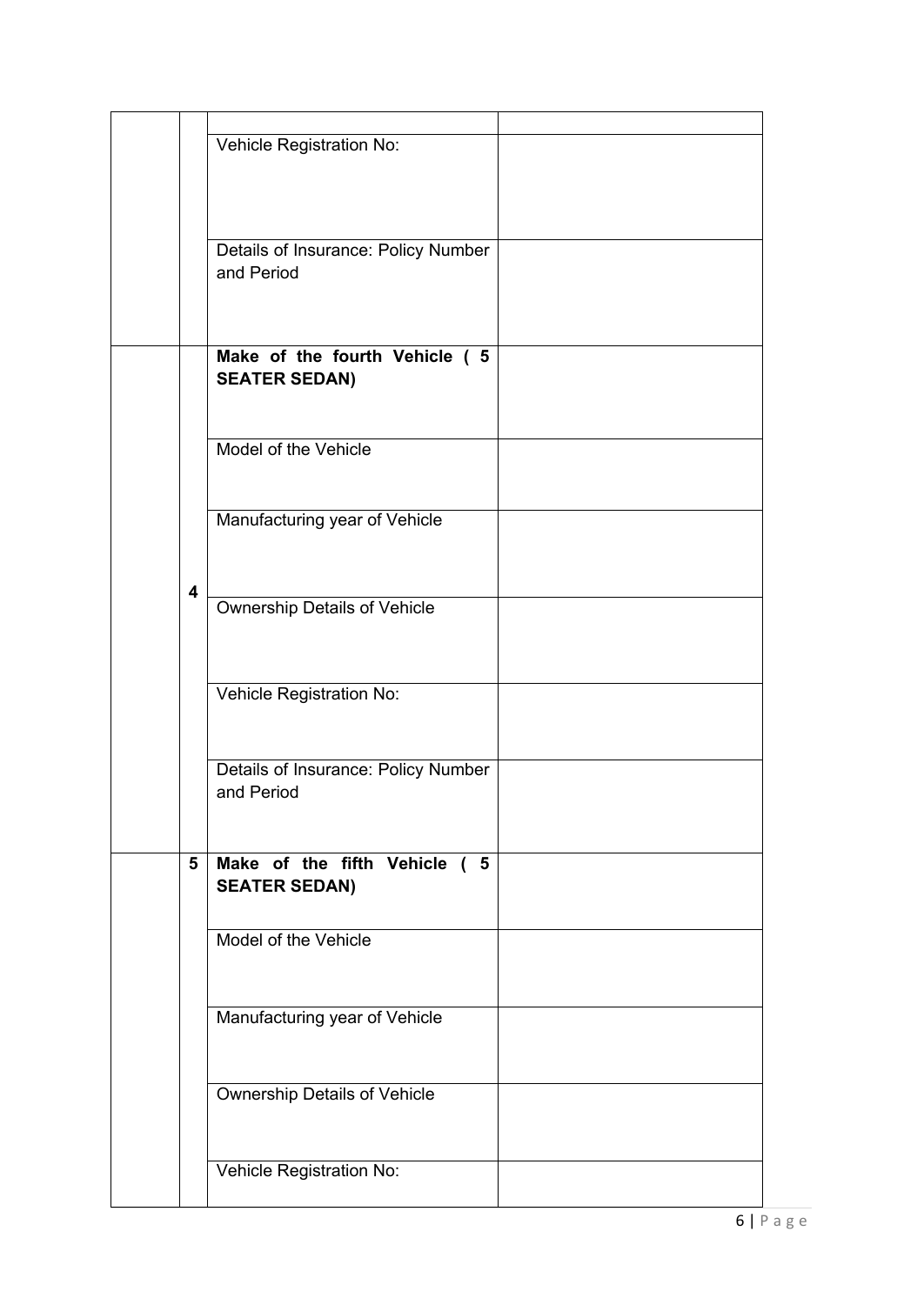|   | Vehicle Registration No:            |  |
|---|-------------------------------------|--|
|   |                                     |  |
|   |                                     |  |
|   |                                     |  |
|   |                                     |  |
|   | Details of Insurance: Policy Number |  |
|   | and Period                          |  |
|   |                                     |  |
|   |                                     |  |
|   |                                     |  |
|   | Make of the fourth Vehicle ( 5      |  |
|   | <b>SEATER SEDAN)</b>                |  |
|   |                                     |  |
|   |                                     |  |
|   | Model of the Vehicle                |  |
|   |                                     |  |
|   |                                     |  |
|   | Manufacturing year of Vehicle       |  |
|   |                                     |  |
|   |                                     |  |
|   |                                     |  |
| 4 | <b>Ownership Details of Vehicle</b> |  |
|   |                                     |  |
|   |                                     |  |
|   |                                     |  |
|   | Vehicle Registration No:            |  |
|   |                                     |  |
|   |                                     |  |
|   |                                     |  |
|   | Details of Insurance: Policy Number |  |
|   | and Period                          |  |
|   |                                     |  |
|   |                                     |  |
| 5 | Make of the fifth Vehicle ( 5       |  |
|   | <b>SEATER SEDAN)</b>                |  |
|   |                                     |  |
|   | Model of the Vehicle                |  |
|   |                                     |  |
|   |                                     |  |
|   |                                     |  |
|   | Manufacturing year of Vehicle       |  |
|   |                                     |  |
|   |                                     |  |
|   | <b>Ownership Details of Vehicle</b> |  |
|   |                                     |  |
|   |                                     |  |
|   |                                     |  |
|   | Vehicle Registration No:            |  |
|   |                                     |  |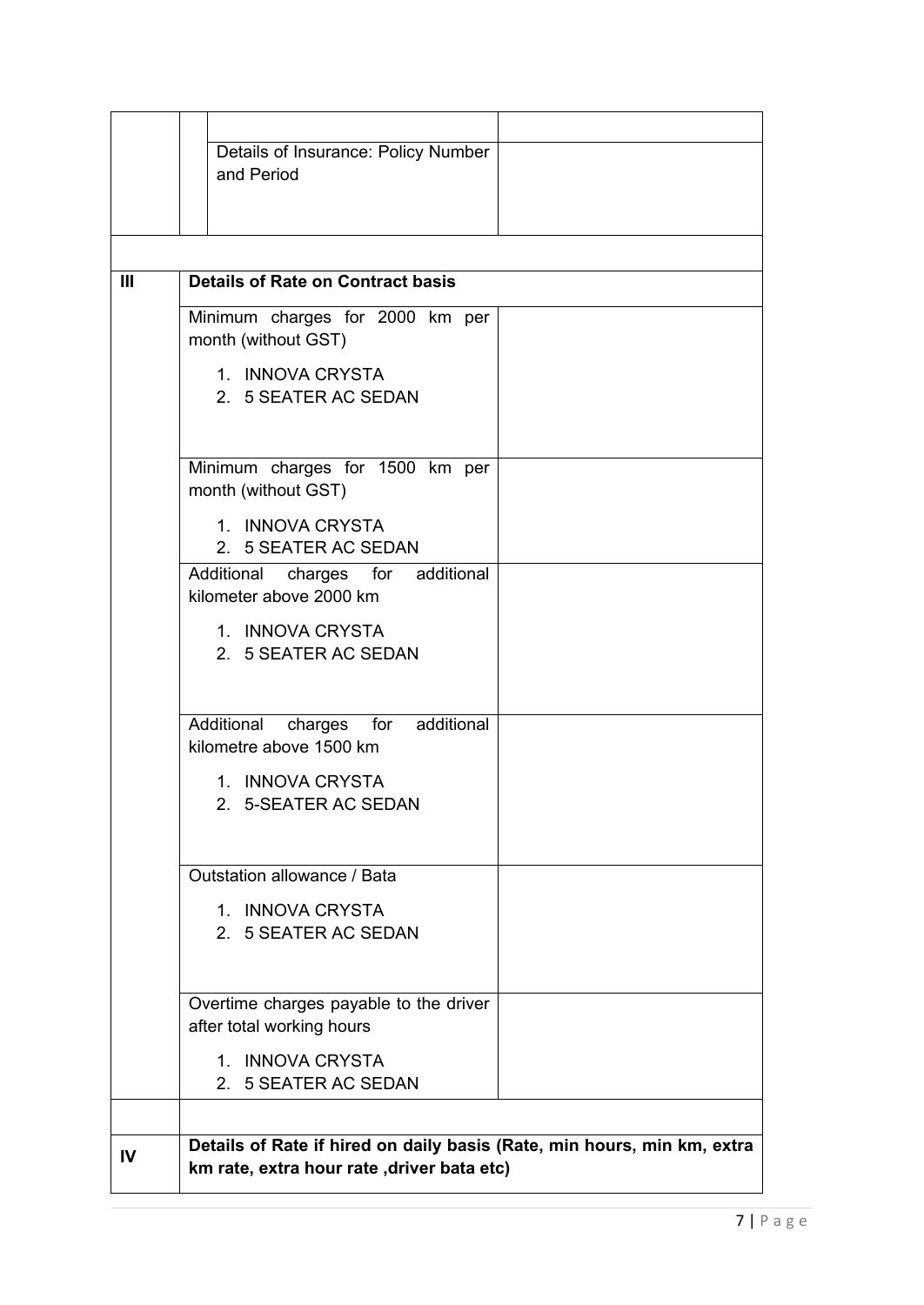|     | Details of Insurance: Policy Number                                                                                    |  |
|-----|------------------------------------------------------------------------------------------------------------------------|--|
|     | and Period                                                                                                             |  |
|     |                                                                                                                        |  |
|     |                                                                                                                        |  |
| III | <b>Details of Rate on Contract basis</b>                                                                               |  |
|     | Minimum charges for 2000 km per                                                                                        |  |
|     | month (without GST)                                                                                                    |  |
|     | 1. INNOVA CRYSTA                                                                                                       |  |
|     | 2. 5 SEATER AC SEDAN                                                                                                   |  |
|     |                                                                                                                        |  |
|     | Minimum charges for 1500 km per                                                                                        |  |
|     | month (without GST)                                                                                                    |  |
|     | 1. INNOVA CRYSTA                                                                                                       |  |
|     | 2. 5 SEATER AC SEDAN                                                                                                   |  |
|     | Additional charges for additional<br>kilometer above 2000 km                                                           |  |
|     | 1. INNOVA CRYSTA                                                                                                       |  |
|     | 2. 5 SEATER AC SEDAN                                                                                                   |  |
|     |                                                                                                                        |  |
|     | Additional<br>for<br>additional<br>charges                                                                             |  |
|     | kilometre above 1500 km                                                                                                |  |
|     | 1. INNOVA CRYSTA                                                                                                       |  |
|     | <b>5-SEATER AC SEDAN</b><br>2                                                                                          |  |
|     |                                                                                                                        |  |
|     | Outstation allowance / Bata                                                                                            |  |
|     | 1. INNOVA CRYSTA                                                                                                       |  |
|     | 2. 5 SEATER AC SEDAN                                                                                                   |  |
|     |                                                                                                                        |  |
|     | Overtime charges payable to the driver                                                                                 |  |
|     | after total working hours                                                                                              |  |
|     | 1. INNOVA CRYSTA                                                                                                       |  |
|     | 2. 5 SEATER AC SEDAN                                                                                                   |  |
|     |                                                                                                                        |  |
| IV  | Details of Rate if hired on daily basis (Rate, min hours, min km, extra<br>km rate, extra hour rate , driver bata etc) |  |
|     |                                                                                                                        |  |